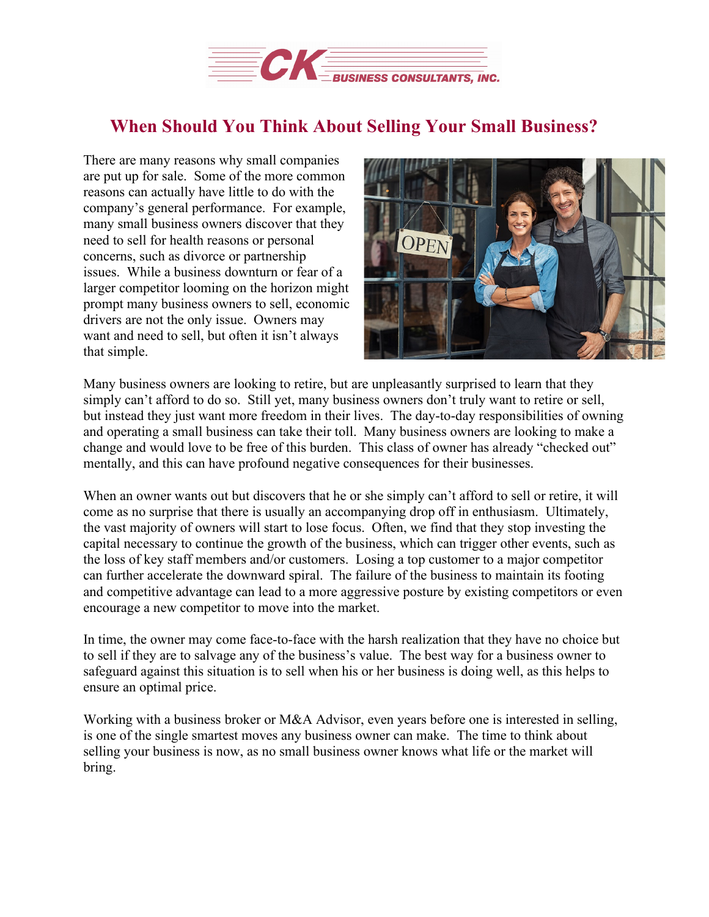

## **When Should You Think About Selling Your Small Business?**

There are many reasons why small companies are put up for sale. Some of the more common reasons can actually have little to do with the company's general performance. For example, many small business owners discover that they need to sell for health reasons or personal concerns, such as divorce or partnership issues. While a business downturn or fear of a larger competitor looming on the horizon might prompt many business owners to sell, economic drivers are not the only issue. Owners may want and need to sell, but often it isn't always that simple.



Many business owners are looking to retire, but are unpleasantly surprised to learn that they simply can't afford to do so. Still yet, many business owners don't truly want to retire or sell, but instead they just want more freedom in their lives. The day-to-day responsibilities of owning and operating a small business can take their toll. Many business owners are looking to make a change and would love to be free of this burden. This class of owner has already "checked out" mentally, and this can have profound negative consequences for their businesses.

When an owner wants out but discovers that he or she simply can't afford to sell or retire, it will come as no surprise that there is usually an accompanying drop off in enthusiasm. Ultimately, the vast majority of owners will start to lose focus. Often, we find that they stop investing the capital necessary to continue the growth of the business, which can trigger other events, such as the loss of key staff members and/or customers. Losing a top customer to a major competitor can further accelerate the downward spiral. The failure of the business to maintain its footing and competitive advantage can lead to a more aggressive posture by existing competitors or even encourage a new competitor to move into the market.

In time, the owner may come face-to-face with the harsh realization that they have no choice but to sell if they are to salvage any of the business's value. The best way for a business owner to safeguard against this situation is to sell when his or her business is doing well, as this helps to ensure an optimal price.

Working with a business broker or M&A Advisor, even years before one is interested in selling, is one of the single smartest moves any business owner can make. The time to think about selling your business is now, as no small business owner knows what life or the market will bring.